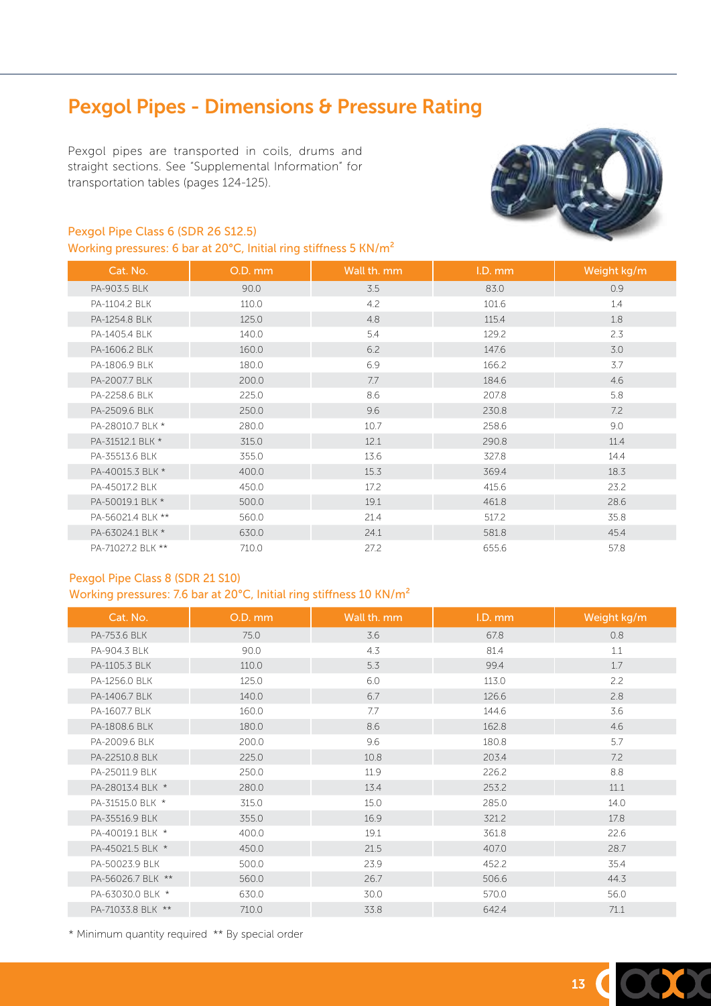# Pexgol Pipes - Dimensions & Pressure Rating

Pexgol pipes are transported in coils, drums and straight sections. See "Supplemental Information" for transportation tables (pages 124-125).

### Pexgol Pipe Class 6 (SDR 26 S12.5)

Working pressures: 6 bar at 20°C, Initial ring stiffness 5 KN/m²



| Cat. No.          | O.D. mm | Wall th. mm | I.D. mm | Weight kg/m |
|-------------------|---------|-------------|---------|-------------|
| PA-903.5 BLK      | 90.0    | 3.5         | 83.0    | 0.9         |
| PA-1104.2 BLK     | 110.0   | 4.2         | 101.6   | 1.4         |
| PA-1254.8 BLK     | 125.0   | 4.8         | 115.4   | 1.8         |
| PA-1405.4 BLK     | 140.0   | 5.4         | 129.2   | 2.3         |
| PA-1606.2 BLK     | 160.0   | 6.2         | 147.6   | 3.0         |
| PA-1806.9 BLK     | 180.0   | 6.9         | 166.2   | 3.7         |
| PA-2007.7 BLK     | 200.0   | 7.7         | 184.6   | 4.6         |
| PA-2258.6 BLK     | 225.0   | 8.6         | 207.8   | 5.8         |
| PA-2509.6 BLK     | 250.0   | 9.6         | 230.8   | 7.2         |
| PA-28010.7 BLK *  | 280.0   | 10.7        | 258.6   | 9.0         |
| PA-31512.1 BLK *  | 315.0   | 12.1        | 290.8   | 11.4        |
| PA-35513.6 BLK    | 355.0   | 13.6        | 327.8   | 14.4        |
| PA-40015.3 BLK *  | 400.0   | 15.3        | 369.4   | 18.3        |
| PA-45017.2 BLK    | 450.0   | 17.2        | 415.6   | 23.2        |
| PA-50019.1 BLK *  | 500.0   | 19.1        | 461.8   | 28.6        |
| PA-56021.4 BLK ** | 560.0   | 21.4        | 517.2   | 35.8        |
| PA-63024.1 BLK *  | 630.0   | 24.1        | 581.8   | 45.4        |
| PA-71027.2 BLK ** | 710.0   | 27.2        | 655.6   | 57.8        |

#### Pexgol Pipe Class 8 (SDR 21 S10)

Working pressures: 7.6 bar at 20°C, Initial ring stiffness 10 KN/m²

| Cat. No.          | O.D. mm | Wall th. mm | I.D. mm | Weight kg/m |
|-------------------|---------|-------------|---------|-------------|
| PA-753.6 BLK      | 75.0    | 3.6         | 67.8    | 0.8         |
| PA-904.3 BLK      | 90.0    | 4.3         | 81.4    | 1.1         |
| PA-1105.3 BLK     | 110.0   | 5.3         | 99.4    | 1.7         |
| PA-1256.0 BLK     | 125.0   | 6.0         | 113.0   | 2.2         |
| PA-1406.7 BLK     | 140.0   | 6.7         | 126.6   | 2.8         |
| PA-1607.7 BLK     | 160.0   | 7.7         | 144.6   | 3.6         |
| PA-1808.6 BLK     | 180.0   | 8.6         | 162.8   | 4.6         |
| PA-2009.6 BLK     | 200.0   | 9.6         | 180.8   | 5.7         |
| PA-22510.8 BLK    | 225.0   | 10.8        | 203.4   | 7.2         |
| PA-25011.9 BLK    | 250.0   | 11.9        | 226.2   | 8.8         |
| PA-28013.4 BLK *  | 280.0   | 13.4        | 253.2   | 11.1        |
| PA-31515.0 BLK *  | 315.0   | 15.0        | 285.0   | 14.0        |
| PA-35516.9 BLK    | 355.0   | 16.9        | 321.2   | 17.8        |
| PA-40019.1 BLK *  | 400.0   | 19.1        | 361.8   | 22.6        |
| PA-45021.5 BLK *  | 450.0   | 21.5        | 407.0   | 28.7        |
| PA-50023.9 BLK    | 500.0   | 23.9        | 452.2   | 35.4        |
| PA-56026.7 BLK ** | 560.0   | 26.7        | 506.6   | 44.3        |
| PA-63030.0 BLK *  | 630.0   | 30.0        | 570.0   | 56.0        |
| PA-71033.8 BLK ** | 710.0   | 33.8        | 642.4   | 71.1        |

\* Minimum quantity required \*\* By special order

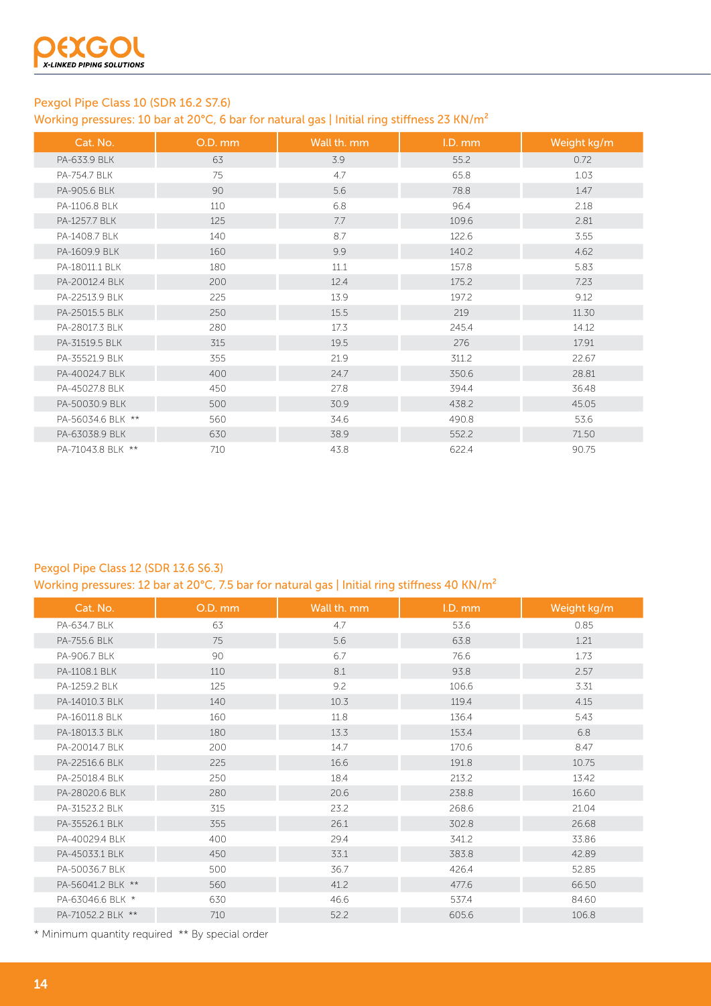

# Pexgol Pipe Class 10 (SDR 16.2 S7.6)

Working pressures: 10 bar at 20°C, 6 bar for natural gas | Initial ring stiffness 23 KN/m<sup>2</sup>

| Cat. No.          | O.D. mm | Wall th. mm | I.D. mm | Weight kg/m |
|-------------------|---------|-------------|---------|-------------|
| PA-633.9 BLK      | 63      | 3.9         | 55.2    | 0.72        |
| PA-754.7 BLK      | 75      | 4.7         | 65.8    | 1.03        |
| PA-905.6 BLK      | 90      | 5.6         | 78.8    | 1.47        |
| PA-1106.8 BLK     | 110     | 6.8         | 96.4    | 2.18        |
| PA-1257.7 BLK     | 125     | 7.7         | 109.6   | 2.81        |
| PA-1408.7 BLK     | 140     | 8.7         | 122.6   | 3.55        |
| PA-1609.9 BLK     | 160     | 9.9         | 140.2   | 4.62        |
| PA-18011.1 BLK    | 180     | 11.1        | 157.8   | 5.83        |
| PA-20012.4 BLK    | 200     | 12.4        | 175.2   | 7.23        |
| PA-22513.9 BLK    | 225     | 13.9        | 197.2   | 9.12        |
| PA-25015.5 BLK    | 250     | 15.5        | 219     | 11.30       |
| PA-28017.3 BLK    | 280     | 17.3        | 245.4   | 14.12       |
| PA-31519.5 BLK    | 315     | 19.5        | 276     | 17.91       |
| PA-35521.9 BLK    | 355     | 21.9        | 311.2   | 22.67       |
| PA-40024.7 BLK    | 400     | 24.7        | 350.6   | 28.81       |
| PA-45027.8 BLK    | 450     | 27.8        | 394.4   | 36.48       |
| PA-50030.9 BLK    | 500     | 30.9        | 438.2   | 45.05       |
| PA-56034.6 BLK ** | 560     | 34.6        | 490.8   | 53.6        |
| PA-63038.9 BLK    | 630     | 38.9        | 552.2   | 71.50       |
| PA-71043.8 BLK ** | 710     | 43.8        | 622.4   | 90.75       |

# Pexgol Pipe Class 12 (SDR 13.6 S6.3)

Working pressures: 12 bar at 20°C, 7.5 bar for natural gas | Initial ring stiffness 40 KN/m<sup>2</sup>

| Cat. No.          | O.D. mm | Wall th. mm | I.D. mm | Weight kg/m |
|-------------------|---------|-------------|---------|-------------|
| PA-634.7 BLK      | 63      | 4.7         | 53.6    | 0.85        |
| PA-755.6 BLK      | 75      | 5.6         | 63.8    | 1.21        |
| PA-906.7 BLK      | 90      | 6.7         | 76.6    | 1.73        |
| PA-1108.1 BLK     | 110     | 8.1         | 93.8    | 2.57        |
| PA-1259.2 BLK     | 125     | 9.2         | 106.6   | 3.31        |
| PA-14010.3 BLK    | 140     | 10.3        | 119.4   | 4.15        |
| PA-16011.8 BLK    | 160     | 11.8        | 136.4   | 5.43        |
| PA-18013.3 BLK    | 180     | 13.3        | 153.4   | 6.8         |
| PA-20014.7 BLK    | 200     | 14.7        | 170.6   | 8.47        |
| PA-22516.6 BLK    | 225     | 16.6        | 191.8   | 10.75       |
| PA-25018.4 BLK    | 250     | 18.4        | 213.2   | 13.42       |
| PA-28020.6 BLK    | 280     | 20.6        | 238.8   | 16.60       |
| PA-31523.2 BLK    | 315     | 23.2        | 268.6   | 21.04       |
| PA-35526.1 BLK    | 355     | 26.1        | 302.8   | 26.68       |
| PA-40029.4 BLK    | 400     | 29.4        | 341.2   | 33.86       |
| PA-45033.1 BLK    | 450     | 33.1        | 383.8   | 42.89       |
| PA-50036.7 BLK    | 500     | 36.7        | 426.4   | 52.85       |
| PA-56041.2 BLK ** | 560     | 41.2        | 477.6   | 66.50       |
| PA-63046.6 BLK *  | 630     | 46.6        | 537.4   | 84.60       |
| PA-71052.2 BLK ** | 710     | 52.2        | 605.6   | 106.8       |

\* Minimum quantity required \*\* By special order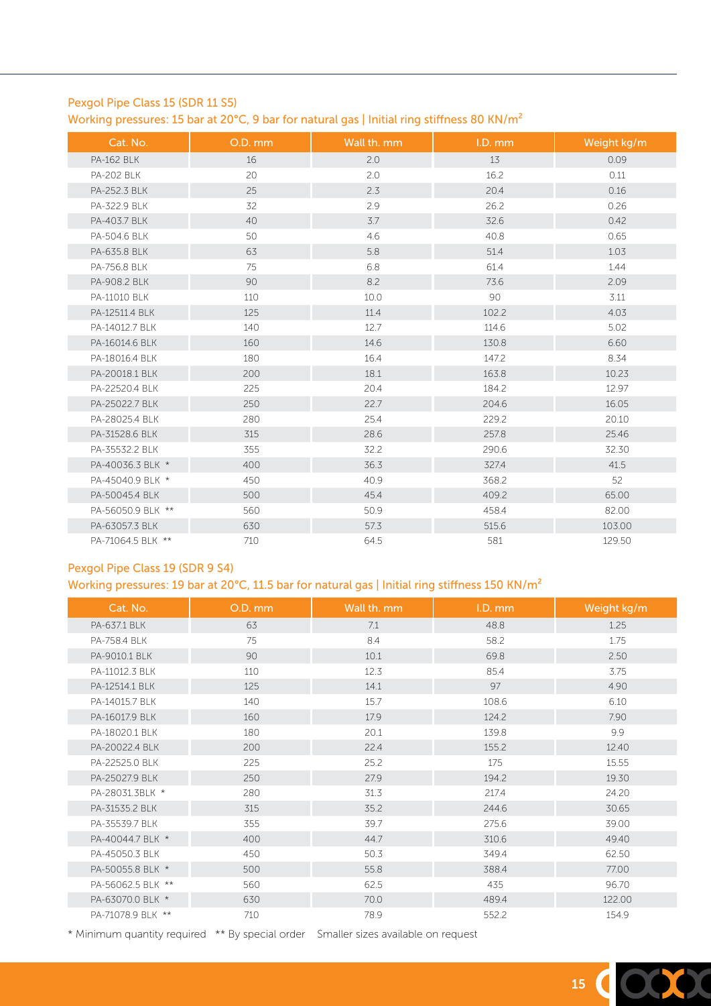### Pexgol Pipe Class 15 (SDR 11 S5)

Working pressures: 15 bar at 20°C, 9 bar for natural gas | Initial ring stiffness 80 KN/m<sup>2</sup>

| Cat. No.          | O.D. mm | Wall th. mm | I.D. mm | Weight kg/m |
|-------------------|---------|-------------|---------|-------------|
| <b>PA-162 BLK</b> | 16      | 2.0         | 13      | 0.09        |
| <b>PA-202 BLK</b> | 20      | 2.0         | 16.2    | 0.11        |
| PA-252.3 BLK      | 25      | 2.3         | 20.4    | 0.16        |
| PA-322.9 BLK      | 32      | 2.9         | 26.2    | 0.26        |
| PA-403.7 BLK      | 40      | 3.7         | 32.6    | 0.42        |
| PA-504.6 BLK      | 50      | 4.6         | 40.8    | 0.65        |
| PA-635.8 BLK      | 63      | 5.8         | 51.4    | 1.03        |
| PA-756.8 BLK      | 75      | 6.8         | 61.4    | 1.44        |
| PA-908.2 BLK      | 90      | 8.2         | 73.6    | 2.09        |
| PA-11010 BLK      | 110     | 10.0        | 90      | 3.11        |
| PA-12511.4 BLK    | 125     | 11.4        | 102.2   | 4.03        |
| PA-14012.7 BLK    | 140     | 12.7        | 114.6   | 5.02        |
| PA-16014.6 BLK    | 160     | 14.6        | 130.8   | 6.60        |
| PA-18016.4 BLK    | 180     | 16.4        | 147.2   | 8.34        |
| PA-20018.1 BLK    | 200     | 18.1        | 163.8   | 10.23       |
| PA-22520.4 BLK    | 225     | 20.4        | 184.2   | 12.97       |
| PA-25022.7 BLK    | 250     | 22.7        | 204.6   | 16.05       |
| PA-28025.4 BLK    | 280     | 25.4        | 229.2   | 20.10       |
| PA-31528.6 BLK    | 315     | 28.6        | 257.8   | 25.46       |
| PA-35532.2 BLK    | 355     | 32.2        | 290.6   | 32.30       |
| PA-40036.3 BLK *  | 400     | 36.3        | 327.4   | 41.5        |
| PA-45040.9 BLK *  | 450     | 40.9        | 368.2   | 52          |
| PA-50045.4 BLK    | 500     | 45.4        | 409.2   | 65.00       |
| PA-56050.9 BLK ** | 560     | 50.9        | 458.4   | 82.00       |
| PA-63057.3 BLK    | 630     | 57.3        | 515.6   | 103.00      |
| PA-71064.5 BLK ** | 710     | 64.5        | 581     | 129.50      |

### Pexgol Pipe Class 19 (SDR 9 S4)

. The contract of the contract of the contract of the contract of the contract of the contract  $15\,$ 

Working pressures: 19 bar at 20°C, 11.5 bar for natural gas | Initial ring stiffness 150 KN/m<sup>2</sup>

| Cat. No.          | O.D. mm | Wall th. mm | I.D. mm | Weight kg/m |
|-------------------|---------|-------------|---------|-------------|
| PA-637.1 BLK      | 63      | 7.1         | 48.8    | 1.25        |
| PA-758.4 BLK      | 75      | 8.4         | 58.2    | 1.75        |
| PA-9010.1 BLK     | 90      | 10.1        | 69.8    | 2.50        |
| PA-11012.3 BLK    | 110     | 12.3        | 85.4    | 3.75        |
| PA-12514.1 BLK    | 125     | 14.1        | 97      | 4.90        |
| PA-14015.7 BLK    | 140     | 15.7        | 108.6   | 6.10        |
| PA-16017.9 BLK    | 160     | 17.9        | 124.2   | 7.90        |
| PA-18020.1 BLK    | 180     | 20.1        | 139.8   | 9.9         |
| PA-20022.4 BLK    | 200     | 22.4        | 155.2   | 12.40       |
| PA-22525.0 BLK    | 225     | 25.2        | 175     | 15.55       |
| PA-25027.9 BLK    | 250     | 27.9        | 194.2   | 19.30       |
| PA-28031.3BLK *   | 280     | 31.3        | 217.4   | 24.20       |
| PA-31535.2 BLK    | 315     | 35.2        | 244.6   | 30.65       |
| PA-35539.7 BLK    | 355     | 39.7        | 275.6   | 39.00       |
| PA-40044.7 BLK *  | 400     | 44.7        | 310.6   | 49.40       |
| PA-45050.3 BLK    | 450     | 50.3        | 349.4   | 62.50       |
| PA-50055.8 BLK *  | 500     | 55.8        | 388.4   | 77.00       |
| PA-56062.5 BLK ** | 560     | 62.5        | 435     | 96.70       |
| PA-63070.0 BLK *  | 630     | 70.0        | 489.4   | 122.00      |
| PA-71078.9 BIK ** | 710     | 78.9        | 552.2   | 154.9       |

\* Minimum quantity required \*\* By special order Smaller sizes available on request